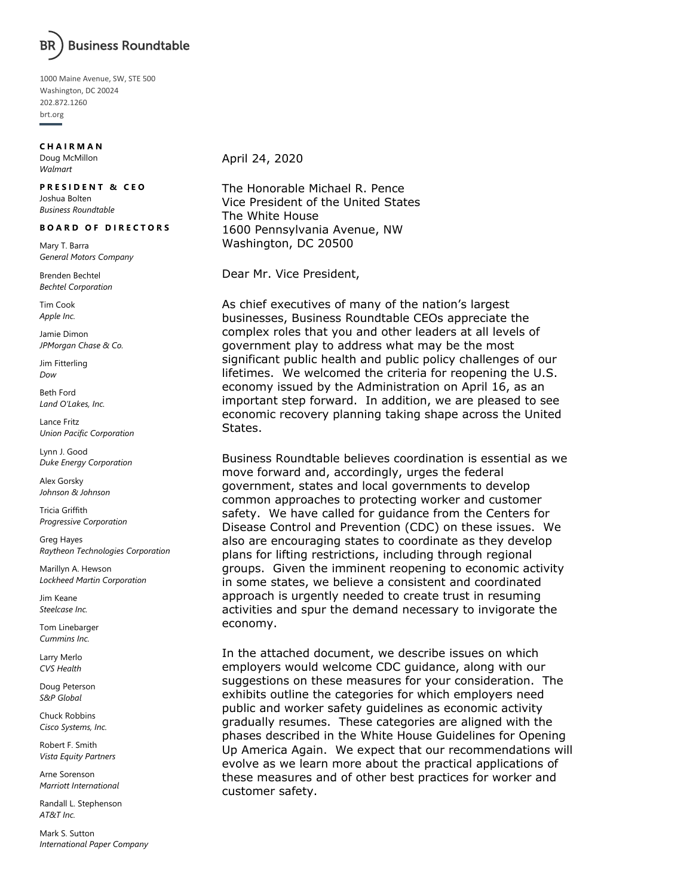

1000 Maine Avenue, SW, STE 500 Washington, DC 20024 202.872.1260 brt.org

#### **C H A I R M A N**

Doug McMillon *Walmart*

### **PRESIDENT & CEO**

Joshua Bolten *Business Roundtable*

### **B O A R D O F D I R E C T O R S**

Mary T. Barra *General Motors Company*

Brenden Bechtel *Bechtel Corporation*

Tim Cook *Apple Inc.*

Jamie Dimon *JPMorgan Chase & Co.*

Jim Fitterling *Dow*

Beth Ford *Land O'Lakes, Inc.*

Lance Fritz *Union Pacific Corporation*

Lynn J. Good *Duke Energy Corporation*

Alex Gorsky *Johnson & Johnson*

Tricia Griffith *Progressive Corporation*

Greg Hayes *Raytheon Technologies Corporation*

Marillyn A. Hewson *Lockheed Martin Corporation*

Jim Keane *Steelcase Inc.*

Tom Linebarger *Cummins Inc.*

Larry Merlo *CVS Health*

Doug Peterson *S&P Global*

Chuck Robbins *Cisco Systems, Inc.*

Robert F. Smith *Vista Equity Partners*

Arne Sorenson *Marriott International*

Randall L. Stephenson *AT&T Inc.*

Mark S. Sutton *International Paper Company* April 24, 2020

The Honorable Michael R. Pence Vice President of the United States The White House 1600 Pennsylvania Avenue, NW Washington, DC 20500

Dear Mr. Vice President,

As chief executives of many of the nation's largest businesses, Business Roundtable CEOs appreciate the complex roles that you and other leaders at all levels of government play to address what may be the most significant public health and public policy challenges of our lifetimes. We welcomed the criteria for reopening the U.S. economy issued by the Administration on April 16, as an important step forward. In addition, we are pleased to see economic recovery planning taking shape across the United States.

Business Roundtable believes coordination is essential as we move forward and, accordingly, urges the federal government, states and local governments to develop common approaches to protecting worker and customer safety. We have called for guidance from the Centers for Disease Control and Prevention (CDC) on these issues. We also are encouraging states to coordinate as they develop plans for lifting restrictions, including through regional groups. Given the imminent reopening to economic activity in some states, we believe a consistent and coordinated approach is urgently needed to create trust in resuming activities and spur the demand necessary to invigorate the economy.

In the attached document, we describe issues on which employers would welcome CDC guidance, along with our suggestions on these measures for your consideration. The exhibits outline the categories for which employers need public and worker safety guidelines as economic activity gradually resumes. These categories are aligned with the phases described in the White House Guidelines for Opening Up America Again. We expect that our recommendations will evolve as we learn more about the practical applications of these measures and of other best practices for worker and customer safety.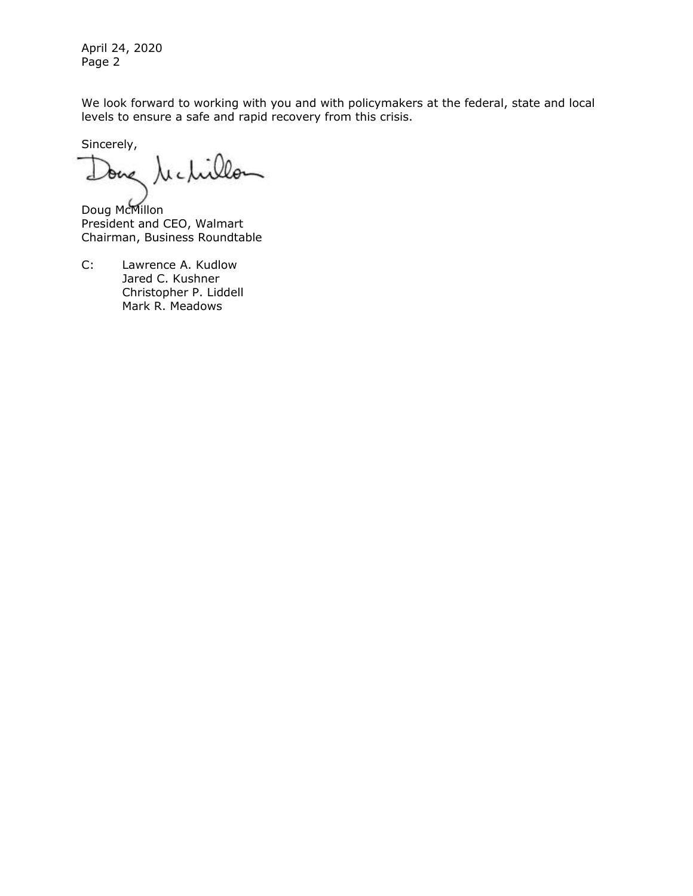April 24, 2020 Page 2

We look forward to working with you and with policymakers at the federal, state and local levels to ensure a safe and rapid recovery from this crisis.

Sincerely,

one technillo

Doug McMillon President and CEO, Walmart Chairman, Business Roundtable

C: Lawrence A. Kudlow Jared C. Kushner Christopher P. Liddell Mark R. Meadows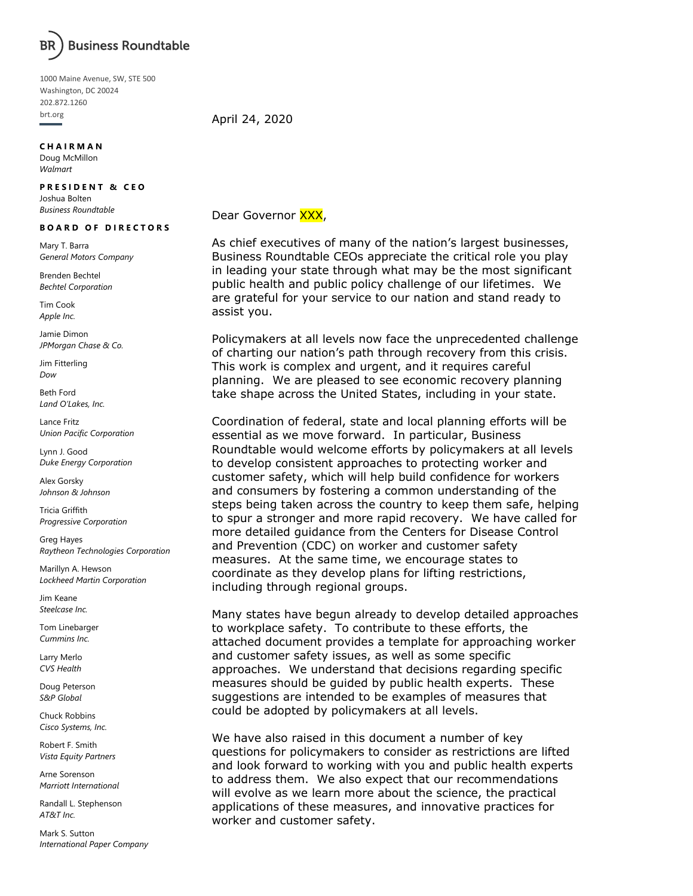

1000 Maine Avenue, SW, STE 500 Washington, DC 20024 202.872.1260 brt.org

### **C H A I R M A N**

Doug McMillon *Walmart*

### **PRESIDENT & CEO**

Joshua Bolten *Business Roundtable*

#### **B O A R D O F D I R E C T O R S**

Mary T. Barra *General Motors Company*

Brenden Bechtel *Bechtel Corporation*

Tim Cook *Apple Inc.*

Jamie Dimon *JPMorgan Chase & Co.*

Jim Fitterling *Dow*

Beth Ford *Land O'Lakes, Inc.*

Lance Fritz *Union Pacific Corporation*

Lynn J. Good *Duke Energy Corporation*

Alex Gorsky *Johnson & Johnson*

Tricia Griffith *Progressive Corporation*

Greg Hayes *Raytheon Technologies Corporation*

Marillyn A. Hewson *Lockheed Martin Corporation*

Jim Keane *Steelcase Inc.*

Tom Linebarger *Cummins Inc.*

Larry Merlo *CVS Health*

Doug Peterson *S&P Global*

Chuck Robbins *Cisco Systems, Inc.*

Robert F. Smith *Vista Equity Partners*

Arne Sorenson *Marriott International*

Randall L. Stephenson *AT&T Inc.*

Mark S. Sutton *International Paper Company* April 24, 2020

### Dear Governor XXX,

As chief executives of many of the nation's largest businesses, Business Roundtable CEOs appreciate the critical role you play in leading your state through what may be the most significant public health and public policy challenge of our lifetimes. We are grateful for your service to our nation and stand ready to assist you.

Policymakers at all levels now face the unprecedented challenge of charting our nation's path through recovery from this crisis. This work is complex and urgent, and it requires careful planning. We are pleased to see economic recovery planning take shape across the United States, including in your state.

Coordination of federal, state and local planning efforts will be essential as we move forward. In particular, Business Roundtable would welcome efforts by policymakers at all levels to develop consistent approaches to protecting worker and customer safety, which will help build confidence for workers and consumers by fostering a common understanding of the steps being taken across the country to keep them safe, helping to spur a stronger and more rapid recovery. We have called for more detailed guidance from the Centers for Disease Control and Prevention (CDC) on worker and customer safety measures. At the same time, we encourage states to coordinate as they develop plans for lifting restrictions, including through regional groups.

Many states have begun already to develop detailed approaches to workplace safety. To contribute to these efforts, the attached document provides a template for approaching worker and customer safety issues, as well as some specific approaches. We understand that decisions regarding specific measures should be guided by public health experts. These suggestions are intended to be examples of measures that could be adopted by policymakers at all levels.

We have also raised in this document a number of key questions for policymakers to consider as restrictions are lifted and look forward to working with you and public health experts to address them. We also expect that our recommendations will evolve as we learn more about the science, the practical applications of these measures, and innovative practices for worker and customer safety.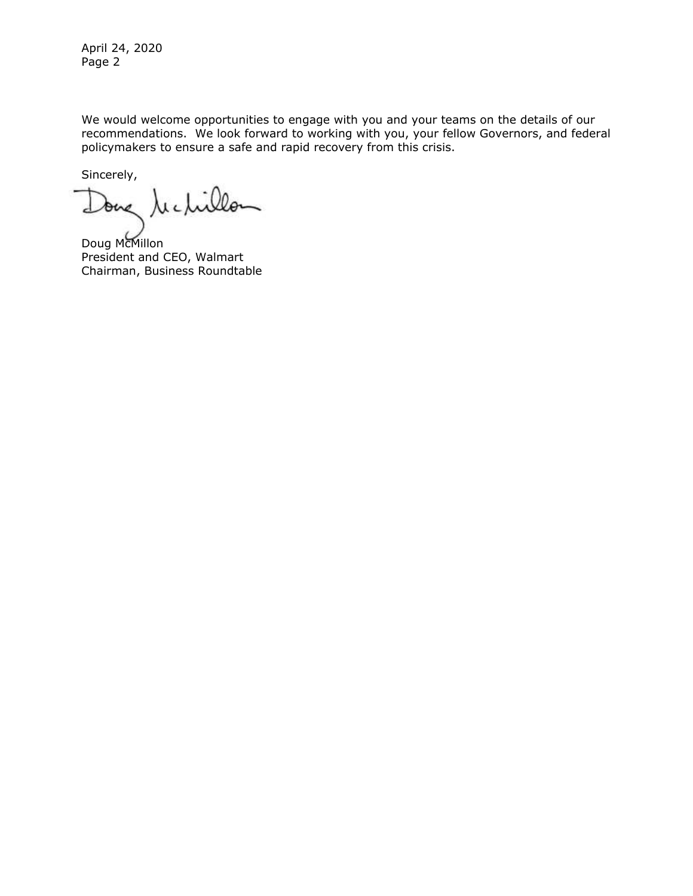April 24, 2020 Page 2

We would welcome opportunities to engage with you and your teams on the details of our recommendations. We look forward to working with you, your fellow Governors, and federal policymakers to ensure a safe and rapid recovery from this crisis.

Sincerely,

due rechillon

Doug McMillon President and CEO, Walmart Chairman, Business Roundtable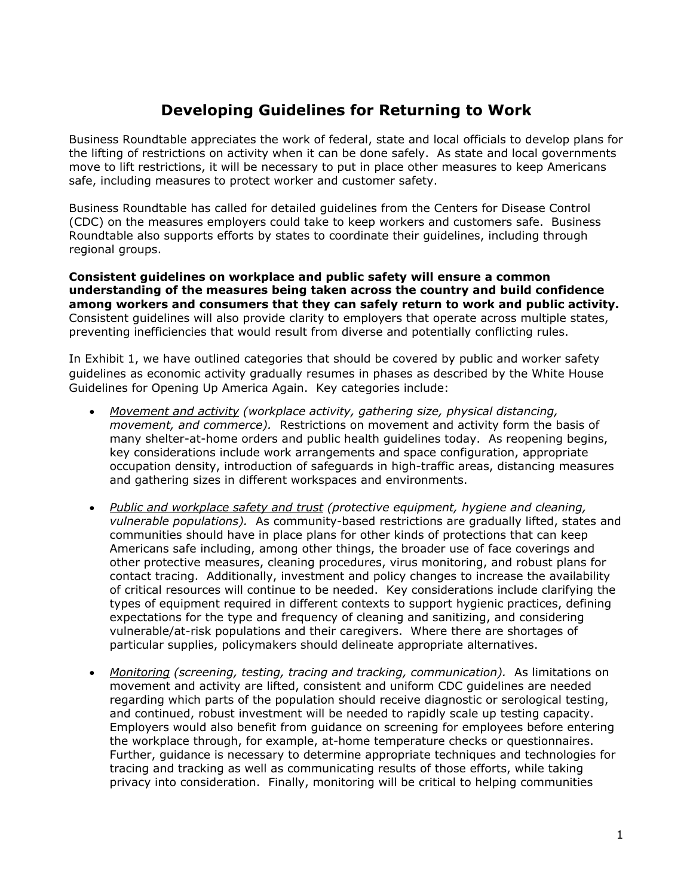### **Developing Guidelines for Returning to Work**

Business Roundtable appreciates the work of federal, state and local officials to develop plans for the lifting of restrictions on activity when it can be done safely. As state and local governments move to lift restrictions, it will be necessary to put in place other measures to keep Americans safe, including measures to protect worker and customer safety.

Business Roundtable has called for detailed guidelines from the Centers for Disease Control (CDC) on the measures employers could take to keep workers and customers safe. Business Roundtable also supports efforts by states to coordinate their guidelines, including through regional groups.

**Consistent guidelines on workplace and public safety will ensure a common understanding of the measures being taken across the country and build confidence among workers and consumers that they can safely return to work and public activity.** Consistent guidelines will also provide clarity to employers that operate across multiple states, preventing inefficiencies that would result from diverse and potentially conflicting rules.

In Exhibit 1, we have outlined categories that should be covered by public and worker safety guidelines as economic activity gradually resumes in phases as described by the White House Guidelines for Opening Up America Again. Key categories include:

- *Movement and activity (workplace activity, gathering size, physical distancing, movement, and commerce).* Restrictions on movement and activity form the basis of many shelter-at-home orders and public health guidelines today. As reopening begins, key considerations include work arrangements and space configuration, appropriate occupation density, introduction of safeguards in high-traffic areas, distancing measures and gathering sizes in different workspaces and environments.
- *Public and workplace safety and trust (protective equipment, hygiene and cleaning, vulnerable populations).* As community-based restrictions are gradually lifted, states and communities should have in place plans for other kinds of protections that can keep Americans safe including, among other things, the broader use of face coverings and other protective measures, cleaning procedures, virus monitoring, and robust plans for contact tracing. Additionally, investment and policy changes to increase the availability of critical resources will continue to be needed. Key considerations include clarifying the types of equipment required in different contexts to support hygienic practices, defining expectations for the type and frequency of cleaning and sanitizing, and considering vulnerable/at-risk populations and their caregivers. Where there are shortages of particular supplies, policymakers should delineate appropriate alternatives.
- *Monitoring (screening, testing, tracing and tracking, communication).* As limitations on movement and activity are lifted, consistent and uniform CDC guidelines are needed regarding which parts of the population should receive diagnostic or serological testing, and continued, robust investment will be needed to rapidly scale up testing capacity. Employers would also benefit from guidance on screening for employees before entering the workplace through, for example, at-home temperature checks or questionnaires. Further, guidance is necessary to determine appropriate techniques and technologies for tracing and tracking as well as communicating results of those efforts, while taking privacy into consideration. Finally, monitoring will be critical to helping communities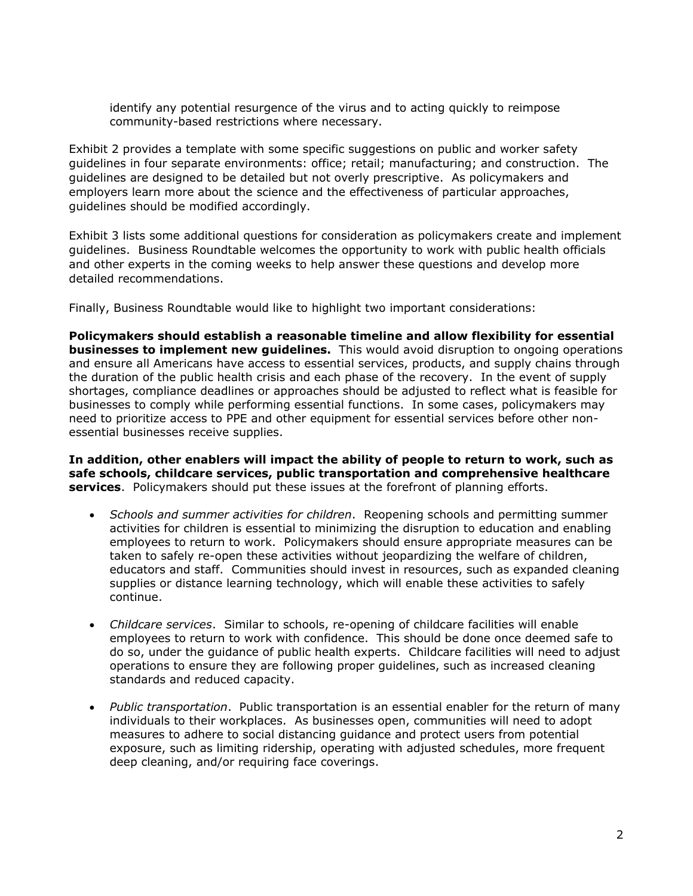identify any potential resurgence of the virus and to acting quickly to reimpose community-based restrictions where necessary.

Exhibit 2 provides a template with some specific suggestions on public and worker safety guidelines in four separate environments: office; retail; manufacturing; and construction. The guidelines are designed to be detailed but not overly prescriptive. As policymakers and employers learn more about the science and the effectiveness of particular approaches, guidelines should be modified accordingly.

Exhibit 3 lists some additional questions for consideration as policymakers create and implement guidelines. Business Roundtable welcomes the opportunity to work with public health officials and other experts in the coming weeks to help answer these questions and develop more detailed recommendations.

Finally, Business Roundtable would like to highlight two important considerations:

**Policymakers should establish a reasonable timeline and allow flexibility for essential businesses to implement new guidelines.** This would avoid disruption to ongoing operations and ensure all Americans have access to essential services, products, and supply chains through the duration of the public health crisis and each phase of the recovery. In the event of supply shortages, compliance deadlines or approaches should be adjusted to reflect what is feasible for businesses to comply while performing essential functions. In some cases, policymakers may need to prioritize access to PPE and other equipment for essential services before other nonessential businesses receive supplies.

**In addition, other enablers will impact the ability of people to return to work, such as safe schools, childcare services, public transportation and comprehensive healthcare services**. Policymakers should put these issues at the forefront of planning efforts.

- *Schools and summer activities for children*. Reopening schools and permitting summer activities for children is essential to minimizing the disruption to education and enabling employees to return to work. Policymakers should ensure appropriate measures can be taken to safely re-open these activities without jeopardizing the welfare of children, educators and staff. Communities should invest in resources, such as expanded cleaning supplies or distance learning technology, which will enable these activities to safely continue.
- *Childcare services*. Similar to schools, re-opening of childcare facilities will enable employees to return to work with confidence. This should be done once deemed safe to do so, under the guidance of public health experts. Childcare facilities will need to adjust operations to ensure they are following proper guidelines, such as increased cleaning standards and reduced capacity.
- *Public transportation*. Public transportation is an essential enabler for the return of many individuals to their workplaces. As businesses open, communities will need to adopt measures to adhere to social distancing guidance and protect users from potential exposure, such as limiting ridership, operating with adjusted schedules, more frequent deep cleaning, and/or requiring face coverings.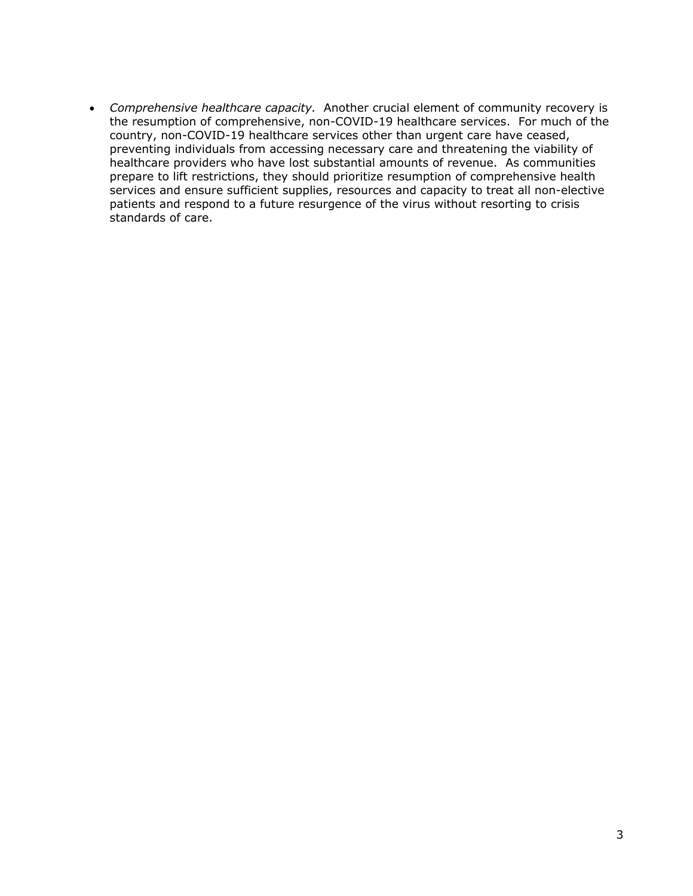• *Comprehensive healthcare capacity.* Another crucial element of community recovery is the resumption of comprehensive, non-COVID-19 healthcare services. For much of the country, non-COVID-19 healthcare services other than urgent care have ceased, preventing individuals from accessing necessary care and threatening the viability of healthcare providers who have lost substantial amounts of revenue. As communities prepare to lift restrictions, they should prioritize resumption of comprehensive health services and ensure sufficient supplies, resources and capacity to treat all non-elective patients and respond to a future resurgence of the virus without resorting to crisis standards of care.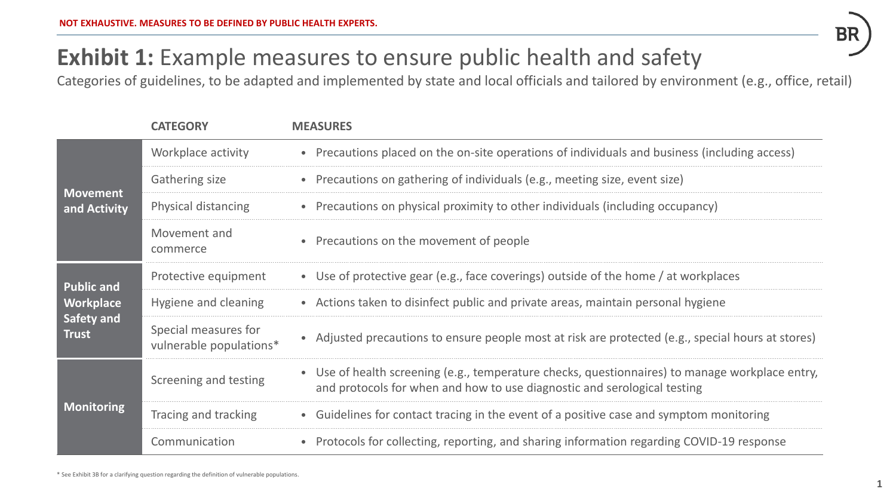

# **Exhibit 1:** Example measures to ensure public health and safety

Categories of guidelines, to be adapted and implemented by state and local officials and tailored by environment (e.g., office, retail)

|                                         | <b>CATEGORY</b>                                 | <b>MEASURES</b>                                                                                                                                                             |
|-----------------------------------------|-------------------------------------------------|-----------------------------------------------------------------------------------------------------------------------------------------------------------------------------|
| <b>Movement</b><br>and Activity         | Workplace activity                              | • Precautions placed on the on-site operations of individuals and business (including access)                                                                               |
|                                         | Gathering size                                  | • Precautions on gathering of individuals (e.g., meeting size, event size)                                                                                                  |
|                                         | Physical distancing                             | • Precautions on physical proximity to other individuals (including occupancy)                                                                                              |
|                                         | Movement and<br>commerce                        | Precautions on the movement of people                                                                                                                                       |
| <b>Public and</b>                       | Protective equipment                            | • Use of protective gear (e.g., face coverings) outside of the home / at workplaces                                                                                         |
| Workplace<br>Safety and<br><b>Trust</b> | Hygiene and cleaning                            | • Actions taken to disinfect public and private areas, maintain personal hygiene                                                                                            |
|                                         | Special measures for<br>vulnerable populations* | • Adjusted precautions to ensure people most at risk are protected (e.g., special hours at stores)                                                                          |
| <b>Monitoring</b>                       | Screening and testing                           | • Use of health screening (e.g., temperature checks, questionnaires) to manage workplace entry,<br>and protocols for when and how to use diagnostic and serological testing |
|                                         | Tracing and tracking                            | • Guidelines for contact tracing in the event of a positive case and symptom monitoring                                                                                     |
|                                         | Communication                                   | Protocols for collecting, reporting, and sharing information regarding COVID-19 response                                                                                    |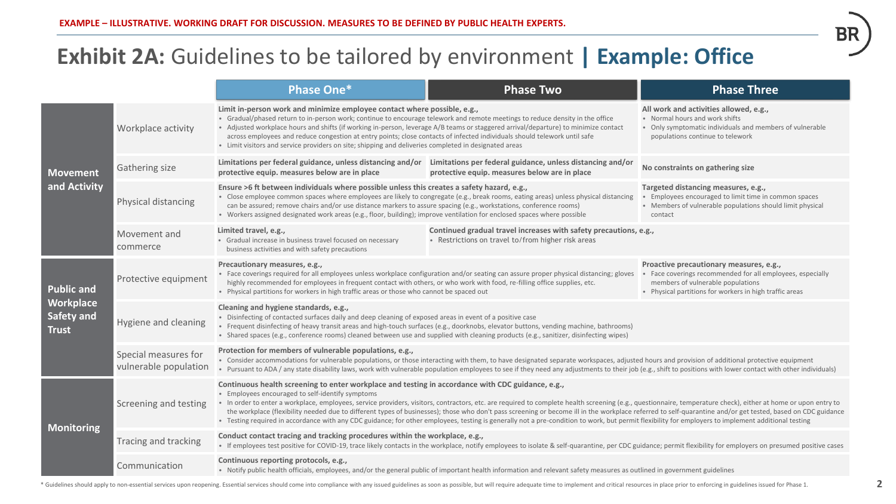### **Exhibit 2A:** Guidelines to be tailored by environment **| Example: Office**

|                                                                            |                                               | <b>Phase One*</b>                                                                                                                                                                                                                                                                                                                                                                                                                                                                                                                                                                                                                                                                                                                                                                             | <b>Phase Two</b>                                                                                                        | <b>Phase Three</b>                                                                                                                                                                                  |  |  |
|----------------------------------------------------------------------------|-----------------------------------------------|-----------------------------------------------------------------------------------------------------------------------------------------------------------------------------------------------------------------------------------------------------------------------------------------------------------------------------------------------------------------------------------------------------------------------------------------------------------------------------------------------------------------------------------------------------------------------------------------------------------------------------------------------------------------------------------------------------------------------------------------------------------------------------------------------|-------------------------------------------------------------------------------------------------------------------------|-----------------------------------------------------------------------------------------------------------------------------------------------------------------------------------------------------|--|--|
| <b>Movement</b><br>and Activity                                            | Workplace activity                            | Limit in-person work and minimize employee contact where possible, e.g.,<br>• Gradual/phased return to in-person work; continue to encourage telework and remote meetings to reduce density in the office<br>• Adjusted workplace hours and shifts (if working in-person, leverage A/B teams or staggered arrival/departure) to minimize contact<br>across employees and reduce congestion at entry points; close contacts of infected individuals should telework until safe<br>• Limit visitors and service providers on site; shipping and deliveries completed in designated areas                                                                                                                                                                                                        |                                                                                                                         | All work and activities allowed, e.g.,<br>• Normal hours and work shifts<br>• Only symptomatic individuals and members of vulnerable<br>populations continue to telework                            |  |  |
|                                                                            | Gathering size                                | Limitations per federal guidance, unless distancing and/or<br>protective equip. measures below are in place                                                                                                                                                                                                                                                                                                                                                                                                                                                                                                                                                                                                                                                                                   | Limitations per federal guidance, unless distancing and/or<br>protective equip. measures below are in place             | No constraints on gathering size                                                                                                                                                                    |  |  |
|                                                                            | Physical distancing                           | Ensure >6 ft between individuals where possible unless this creates a safety hazard, e.g.,<br>• Close employee common spaces where employees are likely to congregate (e.g., break rooms, eating areas) unless physical distancing<br>can be assured; remove chairs and/or use distance markers to assure spacing (e.g., workstations, conference rooms)<br>• Workers assigned designated work areas (e.g., floor, building); improve ventilation for enclosed spaces where possible                                                                                                                                                                                                                                                                                                          |                                                                                                                         | Targeted distancing measures, e.g.,<br>Employees encouraged to limit time in common spaces<br>• Members of vulnerable populations should limit physical<br>contact                                  |  |  |
|                                                                            | Movement and<br>commerce                      | Limited travel, e.g.,<br>• Gradual increase in business travel focused on necessary<br>business activities and with safety precautions                                                                                                                                                                                                                                                                                                                                                                                                                                                                                                                                                                                                                                                        | Continued gradual travel increases with safety precautions, e.g.,<br>• Restrictions on travel to/from higher risk areas |                                                                                                                                                                                                     |  |  |
| <b>Public and</b><br><b>Workplace</b><br><b>Safety and</b><br><b>Trust</b> | Protective equipment                          | Precautionary measures, e.g.,<br>• Face coverings required for all employees unless workplace configuration and/or seating can assure proper physical distancing; gloves<br>highly recommended for employees in frequent contact with others, or who work with food, re-filling office supplies, etc.<br>• Physical partitions for workers in high traffic areas or those who cannot be spaced out                                                                                                                                                                                                                                                                                                                                                                                            |                                                                                                                         | Proactive precautionary measures, e.g.,<br>Face coverings recommended for all employees, especially<br>members of vulnerable populations<br>• Physical partitions for workers in high traffic areas |  |  |
|                                                                            | Hygiene and cleaning                          | Cleaning and hygiene standards, e.g.,<br>• Disinfecting of contacted surfaces daily and deep cleaning of exposed areas in event of a positive case<br>• Frequent disinfecting of heavy transit areas and high-touch surfaces (e.g., doorknobs, elevator buttons, vending machine, bathrooms)<br>• Shared spaces (e.g., conference rooms) cleaned between use and supplied with cleaning products (e.g., sanitizer, disinfecting wipes)                                                                                                                                                                                                                                                                                                                                                        |                                                                                                                         |                                                                                                                                                                                                     |  |  |
|                                                                            | Special measures for<br>vulnerable population | Protection for members of vulnerable populations, e.g.,<br>• Consider accommodations for vulnerable populations, or those interacting with them, to have designated separate workspaces, adjusted hours and provision of additional protective equipment<br>. Pursuant to ADA / any state disability laws, work with vulnerable population employees to see if they need any adjustments to their job (e.g., shift to positions with lower contact with other individuals)                                                                                                                                                                                                                                                                                                                    |                                                                                                                         |                                                                                                                                                                                                     |  |  |
| <b>Monitoring</b>                                                          | Screening and testing                         | Continuous health screening to enter workplace and testing in accordance with CDC guidance, e.g.,<br>• Employees encouraged to self-identify symptoms<br>• In order to enter a workplace, employees, service providers, visitors, contractors, etc. are required to complete health screening (e.g., questionnaire, temperature check), either at home or upon entry to<br>the workplace (flexibility needed due to different types of businesses); those who don't pass screening or become ill in the workplace referred to self-quarantine and/or get tested, based on CDC guidance<br>. Testing required in accordance with any CDC guidance; for other employees, testing is generally not a pre-condition to work, but permit flexibility for employers to implement additional testing |                                                                                                                         |                                                                                                                                                                                                     |  |  |
|                                                                            | Tracing and tracking                          | Conduct contact tracing and tracking procedures within the workplace, e.g.,<br>• If employees test positive for COVID-19, trace likely contacts in the workplace, notify employees to isolate & self-quarantine, per CDC guidance; permit flexibility for employers on presumed positive cases                                                                                                                                                                                                                                                                                                                                                                                                                                                                                                |                                                                                                                         |                                                                                                                                                                                                     |  |  |
|                                                                            | Communication                                 | Continuous reporting protocols, e.g.,<br>• Notify public health officials, employees, and/or the general public of important health information and relevant safety measures as outlined in government guidelines                                                                                                                                                                                                                                                                                                                                                                                                                                                                                                                                                                             |                                                                                                                         |                                                                                                                                                                                                     |  |  |

\* Guidelines should apply to non-essential services upon reopening. Essential services should come into compliance with any issued guidelines as soon as possible, but will require adequate time to implement and critical re

БK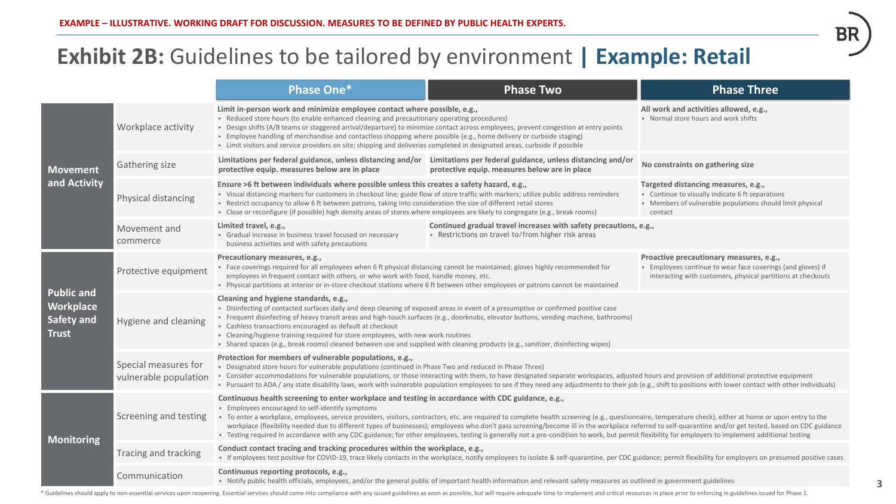## **Exhibit 2B:** Guidelines to be tailored by environment **| Example: Retail**

|                                                                            |                                               | <b>Phase One*</b>                                                                                                                                                                                                                                                                                                                                                                                                                                                                                                                                                                                           | <b>Phase Two</b>                                                                                                                                                                                                                                                                                                                                                                                                                                                                                                                                                                                                             | <b>Phase Three</b>                                                                                                                                                     |
|----------------------------------------------------------------------------|-----------------------------------------------|-------------------------------------------------------------------------------------------------------------------------------------------------------------------------------------------------------------------------------------------------------------------------------------------------------------------------------------------------------------------------------------------------------------------------------------------------------------------------------------------------------------------------------------------------------------------------------------------------------------|------------------------------------------------------------------------------------------------------------------------------------------------------------------------------------------------------------------------------------------------------------------------------------------------------------------------------------------------------------------------------------------------------------------------------------------------------------------------------------------------------------------------------------------------------------------------------------------------------------------------------|------------------------------------------------------------------------------------------------------------------------------------------------------------------------|
| <b>Movement</b><br>and Activity                                            | Workplace activity                            | Limit in-person work and minimize employee contact where possible, e.g.,<br>• Reduced store hours (to enable enhanced cleaning and precautionary operating procedures)<br>. Design shifts (A/B teams or staggered arrival/departure) to minimize contact across employees, prevent congestion at entry points<br>· Employee handling of merchandise and contactless shopping where possible (e.g., home delivery or curbside staging)<br>• Limit visitors and service providers on site; shipping and deliveries completed in designated areas, curbside if possible                                        |                                                                                                                                                                                                                                                                                                                                                                                                                                                                                                                                                                                                                              | All work and activities allowed, e.g.,<br>• Normal store hours and work shifts                                                                                         |
|                                                                            | Gathering size                                | Limitations per federal guidance, unless distancing and/or Limitations per federal guidance, unless distancing and/or<br>protective equip. measures below are in place                                                                                                                                                                                                                                                                                                                                                                                                                                      | protective equip. measures below are in place                                                                                                                                                                                                                                                                                                                                                                                                                                                                                                                                                                                | No constraints on gathering size                                                                                                                                       |
|                                                                            | Physical distancing                           | Ensure >6 ft between individuals where possible unless this creates a safety hazard, e.g.,<br>. Visual distancing markers for customers in checkout line; guide flow of store traffic with markers; utilize public address reminders<br>. Restrict occupancy to allow 6 ft between patrons, taking into consideration the size of different retail stores<br>· Close or reconfigure (if possible) high density areas of stores where employees are likely to congregate (e.g., break rooms)                                                                                                                 |                                                                                                                                                                                                                                                                                                                                                                                                                                                                                                                                                                                                                              | Targeted distancing measures, e.g.,<br>• Continue to visually indicate 6 ft separations<br>• Members of vulnerable populations should limit physical<br>contact        |
|                                                                            | Movement and<br>commerce                      | Limited travel, e.g.,<br>• Gradual increase in business travel focused on necessary<br>business activities and with safety precautions                                                                                                                                                                                                                                                                                                                                                                                                                                                                      | Continued gradual travel increases with safety precautions, e.g.,<br>• Restrictions on travel to/from higher risk areas                                                                                                                                                                                                                                                                                                                                                                                                                                                                                                      |                                                                                                                                                                        |
| <b>Public and</b><br><b>Workplace</b><br><b>Safety and</b><br><b>Trust</b> | Protective equipment                          | Precautionary measures, e.g.,<br>• Face coverings required for all employees when 6 ft physical distancing cannot be maintained; gloves highly recommended for<br>employees in frequent contact with others, or who work with food, handle money, etc.<br>• Physical partitions at interior or in-store checkout stations where 6 ft between other employees or patrons cannot be maintained                                                                                                                                                                                                                |                                                                                                                                                                                                                                                                                                                                                                                                                                                                                                                                                                                                                              | Proactive precautionary measures, e.g.,<br>• Employees continue to wear face coverings (and gloves) if<br>interacting with customers, physical partitions at checkouts |
|                                                                            | Hygiene and cleaning                          | Cleaning and hygiene standards, e.g.,<br>• Disinfecting of contacted surfaces daily and deep cleaning of exposed areas in event of a presumptive or confirmed positive case<br>• Frequent disinfecting of heavy transit areas and high-touch surfaces (e.g., doorknobs, elevator buttons, vending machine, bathrooms)<br>• Cashless transactions encouraged as default at checkout<br>• Cleaning/hygiene training required for store employees, with new work routines<br>• Shared spaces (e.g., break rooms) cleaned between use and supplied with cleaning products (e.g., sanitizer, disinfecting wipes) |                                                                                                                                                                                                                                                                                                                                                                                                                                                                                                                                                                                                                              |                                                                                                                                                                        |
|                                                                            | Special measures for<br>vulnerable population | Protection for members of vulnerable populations, e.g.,<br>. Designated store hours for vulnerable populations (continued in Phase Two and reduced in Phase Three)<br>• Consider accommodations for vulnerable populations, or those interacting with them, to have designated separate workspaces, adjusted hours and provision of additional protective equipment                                                                                                                                                                                                                                         | . Pursuant to ADA / any state disability laws, work with vulnerable population employees to see if they need any adjustments to their job (e.g., shift to positions with lower contact with other individuals)                                                                                                                                                                                                                                                                                                                                                                                                               |                                                                                                                                                                        |
| <b>Monitoring</b>                                                          | Screening and testing                         | Continuous health screening to enter workplace and testing in accordance with CDC guidance, e.g.,<br>• Employees encouraged to self-identify symptoms                                                                                                                                                                                                                                                                                                                                                                                                                                                       | · To enter a workplace, employees, service providers, visitors, contractors, etc. are required to complete health screening (e.g., questionnaire, temperature check), either at home or upon entry to the<br>workplace (flexibility needed due to different types of businesses); employees who don't pass screening/become ill in the workplace referred to self-quarantine and/or get tested, based on CDC guidance<br>• Testing required in accordance with any CDC guidance; for other employees, testing is generally not a pre-condition to work, but permit flexibility for employers to implement additional testing |                                                                                                                                                                        |
|                                                                            | Tracing and tracking                          | Conduct contact tracing and tracking procedures within the workplace, e.g.,                                                                                                                                                                                                                                                                                                                                                                                                                                                                                                                                 | • If employees test positive for COVID-19, trace likely contacts in the workplace, notify employees to isolate & self-quarantine, per CDC guidance; permit flexibility for employers on presumed positive cases                                                                                                                                                                                                                                                                                                                                                                                                              |                                                                                                                                                                        |
|                                                                            | Communication                                 | Continuous reporting protocols, e.g.,                                                                                                                                                                                                                                                                                                                                                                                                                                                                                                                                                                       | • Notify public health officials, employees, and/or the general public of important health information and relevant safety measures as outlined in government guidelines                                                                                                                                                                                                                                                                                                                                                                                                                                                     |                                                                                                                                                                        |

\* Guidelines should apply to non-essential services upon reopening. Essential services should come into compliance with any issued guidelines as soon as possible, but will require adequate time to implement and critical re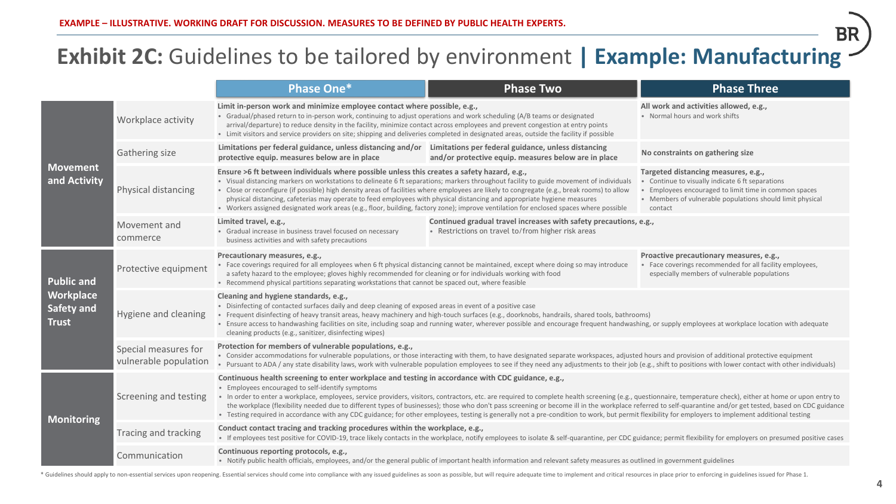## **Exhibit 2C:** Guidelines to be tailored by environment **| Example: Manufacturing**

|                                                                     |                                               | <b>Phase One*</b>                                                                                                                                                                                                                                                                                                                                                                                                                                                                                                                                                                                                                                                                                                                                                                             | <b>Phase Two</b>                                                                                                        | <b>Phase Three</b>                                                                                                                                                                                                     |  |  |
|---------------------------------------------------------------------|-----------------------------------------------|-----------------------------------------------------------------------------------------------------------------------------------------------------------------------------------------------------------------------------------------------------------------------------------------------------------------------------------------------------------------------------------------------------------------------------------------------------------------------------------------------------------------------------------------------------------------------------------------------------------------------------------------------------------------------------------------------------------------------------------------------------------------------------------------------|-------------------------------------------------------------------------------------------------------------------------|------------------------------------------------------------------------------------------------------------------------------------------------------------------------------------------------------------------------|--|--|
| <b>Movement</b><br>and Activity                                     | Workplace activity                            | Limit in-person work and minimize employee contact where possible, e.g.,<br>• Gradual/phased return to in-person work, continuing to adjust operations and work scheduling (A/B teams or designated<br>arrival/departure) to reduce density in the facility, minimize contact across employees and prevent congestion at entry points<br>• Limit visitors and service providers on site; shipping and deliveries completed in designated areas, outside the facility if possible                                                                                                                                                                                                                                                                                                              |                                                                                                                         | All work and activities allowed, e.g.,<br>• Normal hours and work shifts                                                                                                                                               |  |  |
|                                                                     | Gathering size                                | Limitations per federal guidance, unless distancing and/or Limitations per federal guidance, unless distancing<br>protective equip. measures below are in place                                                                                                                                                                                                                                                                                                                                                                                                                                                                                                                                                                                                                               | and/or protective equip. measures below are in place                                                                    | No constraints on gathering size                                                                                                                                                                                       |  |  |
|                                                                     | Physical distancing                           | Ensure >6 ft between individuals where possible unless this creates a safety hazard, e.g.,<br>• Visual distancing markers on workstations to delineate 6 ft separations; markers throughout facility to guide movement of individuals<br>· Close or reconfigure (if possible) high density areas of facilities where employees are likely to congregate (e.g., break rooms) to allow<br>physical distancing, cafeterias may operate to feed employees with physical distancing and appropriate hygiene measures<br>• Workers assigned designated work areas (e.g., floor, building, factory zone); improve ventilation for enclosed spaces where possible                                                                                                                                     |                                                                                                                         | Targeted distancing measures, e.g.,<br>• Continue to visually indicate 6 ft separations<br>Employees encouraged to limit time in common spaces<br>• Members of vulnerable populations should limit physical<br>contact |  |  |
|                                                                     | Movement and<br>commerce                      | Limited travel, e.g.,<br>• Gradual increase in business travel focused on necessary<br>business activities and with safety precautions                                                                                                                                                                                                                                                                                                                                                                                                                                                                                                                                                                                                                                                        | Continued gradual travel increases with safety precautions, e.g.,<br>• Restrictions on travel to/from higher risk areas |                                                                                                                                                                                                                        |  |  |
| <b>Public and</b><br>Workplace<br><b>Safety and</b><br><b>Trust</b> | Protective equipment                          | Precautionary measures, e.g.,<br>• Face coverings required for all employees when 6 ft physical distancing cannot be maintained, except where doing so may introduce<br>a safety hazard to the employee; gloves highly recommended for cleaning or for individuals working with food<br>• Recommend physical partitions separating workstations that cannot be spaced out, where feasible                                                                                                                                                                                                                                                                                                                                                                                                     |                                                                                                                         | Proactive precautionary measures, e.g.,<br>Face coverings recommended for all facility employees,<br>especially members of vulnerable populations                                                                      |  |  |
|                                                                     | Hygiene and cleaning                          | Cleaning and hygiene standards, e.g.,<br>. Disinfecting of contacted surfaces daily and deep cleaning of exposed areas in event of a positive case<br>• Frequent disinfecting of heavy transit areas, heavy machinery and high-touch surfaces (e.g., doorknobs, handrails, shared tools, bathrooms)<br>• Ensure access to handwashing facilities on site, including soap and running water, wherever possible and encourage frequent handwashing, or supply employees at workplace location with adequate<br>cleaning products (e.g., sanitizer, disinfecting wipes)                                                                                                                                                                                                                          |                                                                                                                         |                                                                                                                                                                                                                        |  |  |
|                                                                     | Special measures for<br>vulnerable population | Protection for members of vulnerable populations, e.g.,<br>• Consider accommodations for vulnerable populations, or those interacting with them, to have designated separate workspaces, adjusted hours and provision of additional protective equipment<br>. Pursuant to ADA / any state disability laws, work with vulnerable population employees to see if they need any adjustments to their job (e.g., shift to positions with lower contact with other individuals)                                                                                                                                                                                                                                                                                                                    |                                                                                                                         |                                                                                                                                                                                                                        |  |  |
| <b>Monitoring</b>                                                   | Screening and testing                         | Continuous health screening to enter workplace and testing in accordance with CDC guidance, e.g.,<br>• Employees encouraged to self-identify symptoms<br>• In order to enter a workplace, employees, service providers, visitors, contractors, etc. are required to complete health screening (e.g., questionnaire, temperature check), either at home or upon entry to<br>the workplace (flexibility needed due to different types of businesses); those who don't pass screening or become ill in the workplace referred to self-quarantine and/or get tested, based on CDC guidance<br>• Testing required in accordance with any CDC guidance; for other employees, testing is generally not a pre-condition to work, but permit flexibility for employers to implement additional testing |                                                                                                                         |                                                                                                                                                                                                                        |  |  |
|                                                                     | Tracing and tracking                          | Conduct contact tracing and tracking procedures within the workplace, e.g.,<br>• If employees test positive for COVID-19, trace likely contacts in the workplace, notify employees to isolate & self-quarantine, per CDC guidance; permit flexibility for employers on presumed positive cases                                                                                                                                                                                                                                                                                                                                                                                                                                                                                                |                                                                                                                         |                                                                                                                                                                                                                        |  |  |
|                                                                     | Communication                                 | Continuous reporting protocols, e.g.,<br>• Notify public health officials, employees, and/or the general public of important health information and relevant safety measures as outlined in government guidelines                                                                                                                                                                                                                                                                                                                                                                                                                                                                                                                                                                             |                                                                                                                         |                                                                                                                                                                                                                        |  |  |

\* Guidelines should apply to non-essential services upon reopening. Essential services should come into compliance with any issued guidelines as soon as possible, but will require adequate time to implement and critical re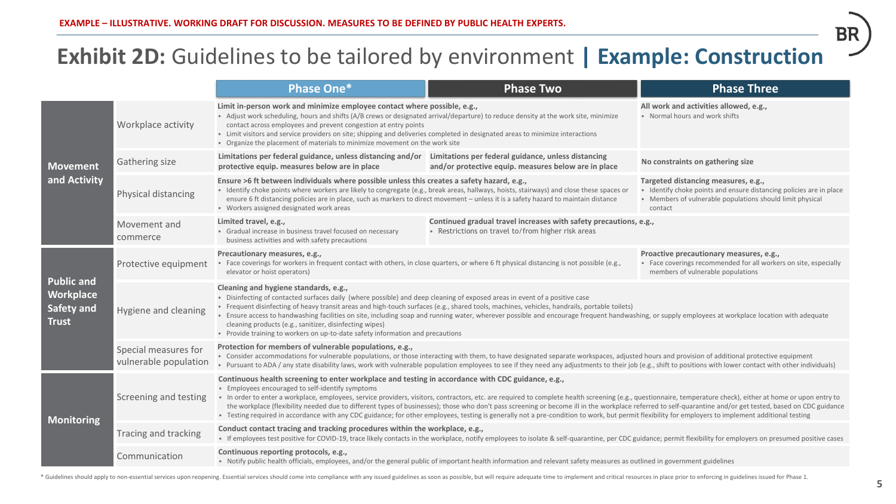## **Exhibit 2D:** Guidelines to be tailored by environment **| Example: Construction**

|                                                                            |                                               | Phase One*                                                                                                                                                                                                                                                                                                                                                                                                                                                                                                                                                                                                                                                             | <b>Phase Two</b>                                                                                                                                                                                                                                                                                                                                                                                                                                                                                                                                                                                                                     | <b>Phase Three</b>                                                                                                                                                                 |  |  |
|----------------------------------------------------------------------------|-----------------------------------------------|------------------------------------------------------------------------------------------------------------------------------------------------------------------------------------------------------------------------------------------------------------------------------------------------------------------------------------------------------------------------------------------------------------------------------------------------------------------------------------------------------------------------------------------------------------------------------------------------------------------------------------------------------------------------|--------------------------------------------------------------------------------------------------------------------------------------------------------------------------------------------------------------------------------------------------------------------------------------------------------------------------------------------------------------------------------------------------------------------------------------------------------------------------------------------------------------------------------------------------------------------------------------------------------------------------------------|------------------------------------------------------------------------------------------------------------------------------------------------------------------------------------|--|--|
| <b>Movement</b><br>and Activity                                            | Workplace activity                            | Limit in-person work and minimize employee contact where possible, e.g.,<br>• Adjust work scheduling, hours and shifts (A/B crews or designated arrival/departure) to reduce density at the work site, minimize<br>contact across employees and prevent congestion at entry points<br>• Limit visitors and service providers on site; shipping and deliveries completed in designated areas to minimize interactions<br>• Organize the placement of materials to minimize movement on the work site                                                                                                                                                                    |                                                                                                                                                                                                                                                                                                                                                                                                                                                                                                                                                                                                                                      | All work and activities allowed, e.g.,<br>• Normal hours and work shifts                                                                                                           |  |  |
|                                                                            | Gathering size                                | Limitations per federal guidance, unless distancing and/or Limitations per federal guidance, unless distancing<br>protective equip. measures below are in place                                                                                                                                                                                                                                                                                                                                                                                                                                                                                                        | and/or protective equip. measures below are in place                                                                                                                                                                                                                                                                                                                                                                                                                                                                                                                                                                                 | No constraints on gathering size                                                                                                                                                   |  |  |
|                                                                            | Physical distancing                           | Ensure >6 ft between individuals where possible unless this creates a safety hazard, e.g.,<br>• Identify choke points where workers are likely to congregate (e.g., break areas, hallways, hoists, stairways) and close these spaces or<br>ensure 6 ft distancing policies are in place, such as markers to direct movement - unless it is a safety hazard to maintain distance<br>· Workers assigned designated work areas                                                                                                                                                                                                                                            |                                                                                                                                                                                                                                                                                                                                                                                                                                                                                                                                                                                                                                      | Targeted distancing measures, e.g.,<br>• Identify choke points and ensure distancing policies are in place<br>• Members of vulnerable populations should limit physical<br>contact |  |  |
|                                                                            | Movement and<br>commerce                      | Limited travel, e.g.,<br>• Gradual increase in business travel focused on necessary<br>business activities and with safety precautions                                                                                                                                                                                                                                                                                                                                                                                                                                                                                                                                 | Continued gradual travel increases with safety precautions, e.g.,<br>• Restrictions on travel to/from higher risk areas                                                                                                                                                                                                                                                                                                                                                                                                                                                                                                              |                                                                                                                                                                                    |  |  |
| <b>Public and</b><br><b>Workplace</b><br><b>Safety and</b><br><b>Trust</b> | Protective equipment                          | Precautionary measures, e.g.,<br>• Face coverings for workers in frequent contact with others, in close quarters, or where 6 ft physical distancing is not possible (e.g.,<br>elevator or hoist operators)                                                                                                                                                                                                                                                                                                                                                                                                                                                             |                                                                                                                                                                                                                                                                                                                                                                                                                                                                                                                                                                                                                                      | Proactive precautionary measures, e.g.,<br>• Face coverings recommended for all workers on site, especially<br>members of vulnerable populations                                   |  |  |
|                                                                            | Hygiene and cleaning                          | Cleaning and hygiene standards, e.g.,<br>. Disinfecting of contacted surfaces daily (where possible) and deep cleaning of exposed areas in event of a positive case<br>· Frequent disinfecting of heavy transit areas and high-touch surfaces (e.g., shared tools, machines, vehicles, handrails, portable toilets)<br>• Ensure access to handwashing facilities on site, including soap and running water, wherever possible and encourage frequent handwashing, or supply employees at workplace location with adequate<br>cleaning products (e.g., sanitizer, disinfecting wipes)<br>• Provide training to workers on up-to-date safety information and precautions |                                                                                                                                                                                                                                                                                                                                                                                                                                                                                                                                                                                                                                      |                                                                                                                                                                                    |  |  |
|                                                                            | Special measures for<br>vulnerable population | Protection for members of vulnerable populations, e.g.,<br>• Consider accommodations for vulnerable populations, or those interacting with them, to have designated separate workspaces, adjusted hours and provision of additional protective equipment<br>. Pursuant to ADA / any state disability laws, work with vulnerable population employees to see if they need any adjustments to their job (e.g., shift to positions with lower contact with other individuals)                                                                                                                                                                                             |                                                                                                                                                                                                                                                                                                                                                                                                                                                                                                                                                                                                                                      |                                                                                                                                                                                    |  |  |
| <b>Monitoring</b>                                                          | Screening and testing                         | Continuous health screening to enter workplace and testing in accordance with CDC guidance, e.g.,<br>• Employees encouraged to self-identify symptoms                                                                                                                                                                                                                                                                                                                                                                                                                                                                                                                  | • In order to enter a workplace, employees, service providers, visitors, contractors, etc. are required to complete health screening (e.g., questionnaire, temperature check), either at home or upon entry to<br>the workplace (flexibility needed due to different types of businesses); those who don't pass screening or become ill in the workplace referred to self-quarantine and/or get tested, based on CDC guidance<br>• Testing required in accordance with any CDC guidance; for other employees, testing is generally not a pre-condition to work, but permit flexibility for employers to implement additional testing |                                                                                                                                                                                    |  |  |
|                                                                            | Tracing and tracking                          | Conduct contact tracing and tracking procedures within the workplace, e.g.,                                                                                                                                                                                                                                                                                                                                                                                                                                                                                                                                                                                            | • If employees test positive for COVID-19, trace likely contacts in the workplace, notify employees to isolate & self-quarantine, per CDC guidance; permit flexibility for employers on presumed positive cases                                                                                                                                                                                                                                                                                                                                                                                                                      |                                                                                                                                                                                    |  |  |
|                                                                            | Communication                                 | Continuous reporting protocols, e.g.,                                                                                                                                                                                                                                                                                                                                                                                                                                                                                                                                                                                                                                  | • Notify public health officials, employees, and/or the general public of important health information and relevant safety measures as outlined in government guidelines                                                                                                                                                                                                                                                                                                                                                                                                                                                             |                                                                                                                                                                                    |  |  |

\* Guidelines should apply to non-essential services upon reopening. Essential services should come into compliance with any issued guidelines as soon as possible, but will require adequate time to implement and critical re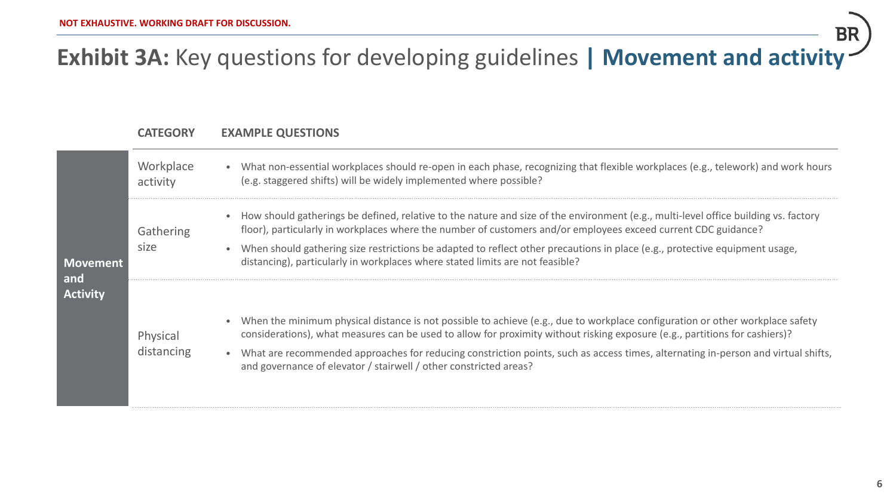# **Exhibit 3A:** Key questions for developing guidelines **| Movement and activity**

### **CATEGORY EXAMPLE QUESTIONS**

| <b>Movement</b><br>and<br><b>Activity</b> | Workplace<br>activity  | • What non-essential workplaces should re-open in each phase, recognizing that flexible workplaces (e.g., telework) and work hours<br>(e.g. staggered shifts) will be widely implemented where possible?                                                                                                                                                                                                                                                                 |
|-------------------------------------------|------------------------|--------------------------------------------------------------------------------------------------------------------------------------------------------------------------------------------------------------------------------------------------------------------------------------------------------------------------------------------------------------------------------------------------------------------------------------------------------------------------|
|                                           | Gathering<br>size      | • How should gatherings be defined, relative to the nature and size of the environment (e.g., multi-level office building vs. factory<br>floor), particularly in workplaces where the number of customers and/or employees exceed current CDC guidance?                                                                                                                                                                                                                  |
|                                           |                        | When should gathering size restrictions be adapted to reflect other precautions in place (e.g., protective equipment usage,<br>distancing), particularly in workplaces where stated limits are not feasible?                                                                                                                                                                                                                                                             |
|                                           | Physical<br>distancing | When the minimum physical distance is not possible to achieve (e.g., due to workplace configuration or other workplace safety<br>considerations), what measures can be used to allow for proximity without risking exposure (e.g., partitions for cashiers)?<br>• What are recommended approaches for reducing constriction points, such as access times, alternating in-person and virtual shifts,<br>and governance of elevator / stairwell / other constricted areas? |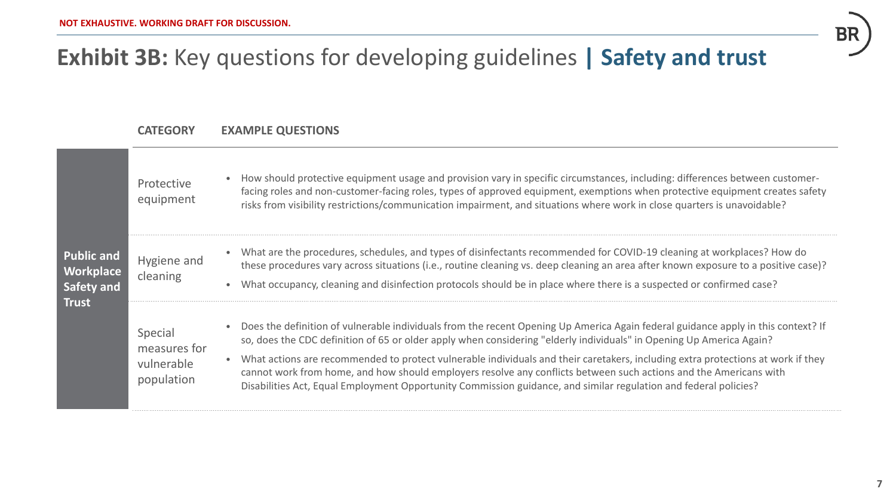# **Exhibit 3B:** Key questions for developing guidelines **| Safety and trust**

### **CATEGORY EXAMPLE QUESTIONS**

| <b>Public and</b><br><b>Workplace</b><br>Safety and<br><b>Trust</b> | Protective<br>equipment                             | How should protective equipment usage and provision vary in specific circumstances, including: differences between customer-<br>facing roles and non-customer-facing roles, types of approved equipment, exemptions when protective equipment creates safety<br>risks from visibility restrictions/communication impairment, and situations where work in close quarters is unavoidable?                                                                                                                                                                                                                                               |
|---------------------------------------------------------------------|-----------------------------------------------------|----------------------------------------------------------------------------------------------------------------------------------------------------------------------------------------------------------------------------------------------------------------------------------------------------------------------------------------------------------------------------------------------------------------------------------------------------------------------------------------------------------------------------------------------------------------------------------------------------------------------------------------|
|                                                                     | Hygiene and<br>cleaning                             | • What are the procedures, schedules, and types of disinfectants recommended for COVID-19 cleaning at workplaces? How do<br>these procedures vary across situations (i.e., routine cleaning vs. deep cleaning an area after known exposure to a positive case)?<br>What occupancy, cleaning and disinfection protocols should be in place where there is a suspected or confirmed case?                                                                                                                                                                                                                                                |
|                                                                     | Special<br>measures for<br>vulnerable<br>population | Does the definition of vulnerable individuals from the recent Opening Up America Again federal guidance apply in this context? If<br>so, does the CDC definition of 65 or older apply when considering "elderly individuals" in Opening Up America Again?<br>What actions are recommended to protect vulnerable individuals and their caretakers, including extra protections at work if they<br>cannot work from home, and how should employers resolve any conflicts between such actions and the Americans with<br>Disabilities Act, Equal Employment Opportunity Commission guidance, and similar regulation and federal policies? |